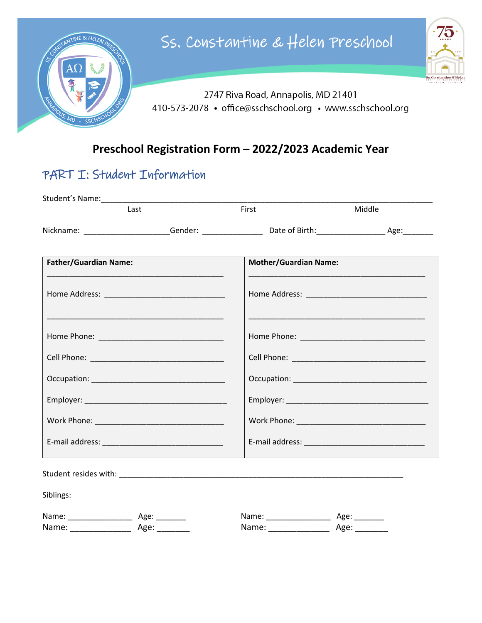

#### Preschool Registration Form - 2022/2023 Academic Year

## PART I: Student Information

|                              | Last | First                        | Middle |
|------------------------------|------|------------------------------|--------|
|                              |      |                              |        |
| <b>Father/Guardian Name:</b> |      | <b>Mother/Guardian Name:</b> |        |
|                              |      |                              |        |
|                              |      |                              |        |
|                              |      |                              |        |
|                              |      |                              |        |
|                              |      |                              |        |
|                              |      |                              |        |
|                              |      |                              |        |
|                              |      |                              |        |
| Siblings:                    |      |                              |        |
|                              |      |                              |        |
|                              |      |                              |        |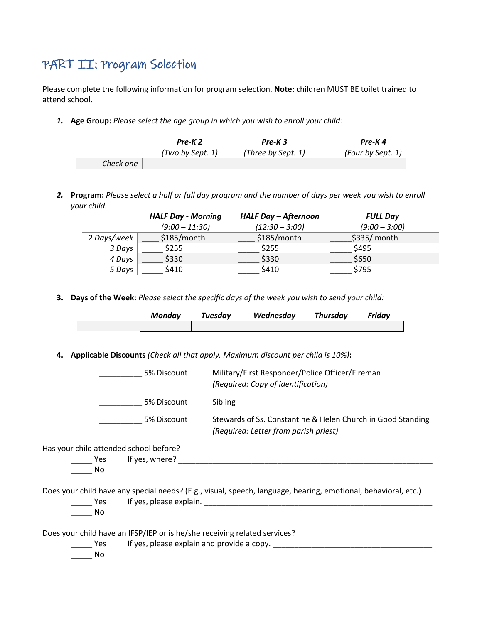## PART II: Program Selection

Please complete the following information for program selection. **Note:** children MUST BE toilet trained to attend school.

*1.* **Age Group:** *Please select the age group in which you wish to enroll your child:*

|           | Pre-K <sub>2</sub> | Pre-K3             | Pre-K4            |
|-----------|--------------------|--------------------|-------------------|
|           | (Two by Sept. 1)   | (Three by Sept. 1) | (Four by Sept. 1) |
| Check one |                    |                    |                   |

*2.* **Program:** *Please select a half or full day program and the number of days per week you wish to enroll your child.* 

|                 | <b>HALF Day - Morning</b> | <b>HALF Day - Afternoon</b> | <b>FULL Day</b> |
|-----------------|---------------------------|-----------------------------|-----------------|
|                 | $(9:00 - 11:30)$          | $(12:30 - 3:00)$            | $(9:00 - 3:00)$ |
| 2 Days/week $ $ | $$185/m$ onth             | $$185/m$ onth               | \$335/month     |
| 3 Days          | \$255                     | \$255                       | \$495           |
| 4 Days          | \$330                     | \$330                       | \$650           |
| 5 Days          | \$410                     | \$410                       | \$795           |

**3. Days of the Week:** *Please select the specific days of the week you wish to send your child:*

| Mondav | Tuesdav | Wednesday | Thursdav | Friday |
|--------|---------|-----------|----------|--------|
|        |         |           |          |        |

**4. Applicable Discounts** *(Check all that apply. Maximum discount per child is 10%)***:** 

|                                        | 5% Discount        | Military/First Responder/Police Officer/Fireman<br>(Required: Copy of identification)                          |
|----------------------------------------|--------------------|----------------------------------------------------------------------------------------------------------------|
|                                        | 5% Discount        | Sibling                                                                                                        |
|                                        | 5% Discount        | Stewards of Ss. Constantine & Helen Church in Good Standing<br>(Required: Letter from parish priest)           |
| Has your child attended school before? |                    |                                                                                                                |
|                                        | Yes If yes, where? |                                                                                                                |
| No                                     |                    |                                                                                                                |
|                                        |                    | Does your child have any special needs? (E.g., visual, speech, language, hearing, emotional, behavioral, etc.) |
| Yes                                    |                    | If yes, please explain.                                                                                        |
| No.                                    |                    |                                                                                                                |
|                                        |                    | Does your child have an IFSP/IEP or is he/she receiving related services?                                      |
| Yes.                                   |                    | If yes, please explain and provide a copy.                                                                     |
| No                                     |                    |                                                                                                                |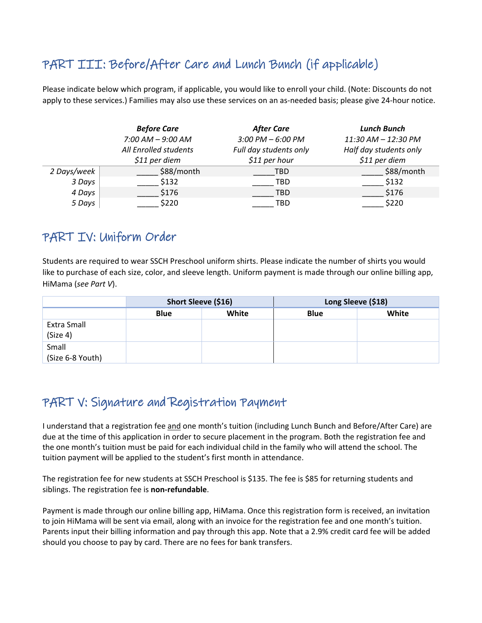# PART III: Before/After Care and Lunch Bunch (if applicable)

Please indicate below which program, if applicable, you would like to enroll your child. (Note: Discounts do not apply to these services.) Families may also use these services on an as-needed basis; please give 24-hour notice.

|             | <b>Before Care</b>    | <b>After Care</b>      | <b>Lunch Bunch</b>     |
|-------------|-----------------------|------------------------|------------------------|
|             | $7:00$ AM $-$ 9:00 AM | 3:00 PM $-$ 6:00 PM    | 11:30 AM - 12:30 PM    |
|             | All Enrolled students | Full day students only | Half day students only |
|             | $$11$ per diem        | $$11$ per hour         | $$11$ per diem         |
| 2 Days/week | \$88/month            | <b>TBD</b>             | \$88/month             |
| 3 Days      | \$132                 | TBD                    | \$132                  |
| 4 Days      | \$176                 | <b>TBD</b>             | \$176                  |
| 5 Days      | \$220                 | TBD                    | \$220                  |

## PART IV: Uniform Order

Students are required to wear SSCH Preschool uniform shirts. Please indicate the number of shirts you would like to purchase of each size, color, and sleeve length. Uniform payment is made through our online billing app, HiMama (*see Part V*).

|                           | Short Sleeve (\$16) |       | Long Sleeve (\$18) |       |
|---------------------------|---------------------|-------|--------------------|-------|
|                           | <b>Blue</b>         | White | <b>Blue</b>        | White |
| Extra Small<br>(Size 4)   |                     |       |                    |       |
| Small<br>(Size 6-8 Youth) |                     |       |                    |       |

## PART V: Signature and Registration Payment

I understand that a registration fee and one month's tuition (including Lunch Bunch and Before/After Care) are due at the time of this application in order to secure placement in the program. Both the registration fee and the one month's tuition must be paid for each individual child in the family who will attend the school. The tuition payment will be applied to the student's first month in attendance.

The registration fee for new students at SSCH Preschool is \$135. The fee is \$85 for returning students and siblings. The registration fee is **non-refundable**.

Payment is made through our online billing app, HiMama. Once this registration form is received, an invitation to join HiMama will be sent via email, along with an invoice for the registration fee and one month's tuition. Parents input their billing information and pay through this app. Note that a 2.9% credit card fee will be added should you choose to pay by card. There are no fees for bank transfers.